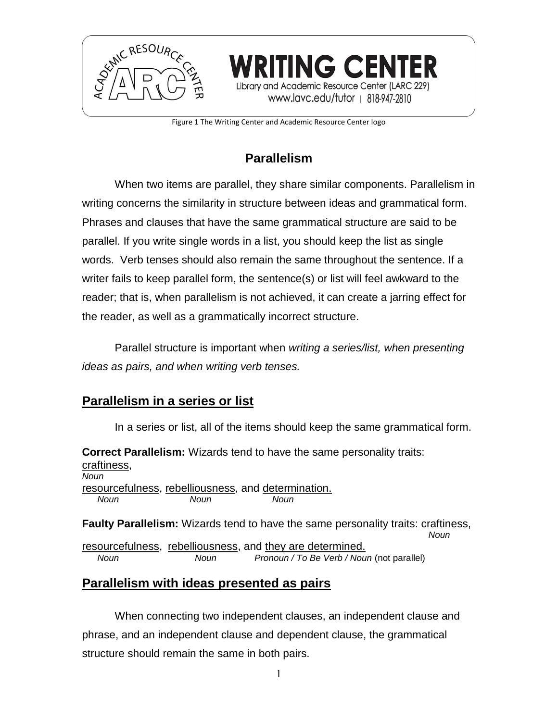

Figure 1 The Writing Center and Academic Resource Center logo

**RITING CENTER** 

and Academic Resource Center (LARC 229) www.lavc.edu/tutor | 818-947-2810

# **Parallelism**

When two items are parallel, they share similar components. Parallelism in writing concerns the similarity in structure between ideas and grammatical form. Phrases and clauses that have the same grammatical structure are said to be parallel. If you write single words in a list, you should keep the list as single words. Verb tenses should also remain the same throughout the sentence. If a writer fails to keep parallel form, the sentence(s) or list will feel awkward to the reader; that is, when parallelism is not achieved, it can create a jarring effect for the reader, as well as a grammatically incorrect structure.

Parallel structure is important when *writing a series/list, when presenting ideas as pairs, and when writing verb tenses.*

# **Parallelism in a series or list**

In a series or list, all of the items should keep the same grammatical form.

**Correct Parallelism:** Wizards tend to have the same personality traits: craftiness, *Noun* resourcefulness, rebelliousness, and determination. *Noun Noun Noun* **Faulty Parallelism:** Wizards tend to have the same personality traits: craftiness, *Noun*

resourcefulness, rebelliousness, and they are determined. *Noun Noun Pronoun / To Be Verb / Noun* (not parallel)

# **Parallelism with ideas presented as pairs**

When connecting two independent clauses, an independent clause and phrase, and an independent clause and dependent clause, the grammatical structure should remain the same in both pairs.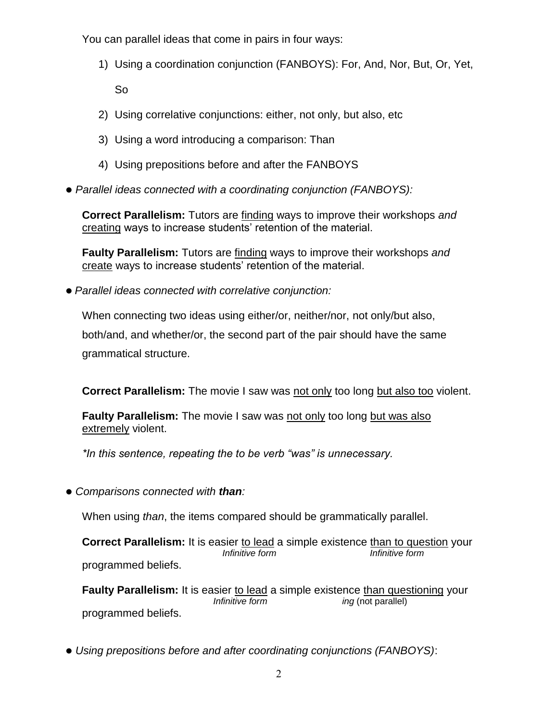You can parallel ideas that come in pairs in four ways:

1) Using a coordination conjunction (FANBOYS): For, And, Nor, But, Or, Yet,

So

- 2) Using correlative conjunctions: either, not only, but also, etc
- 3) Using a word introducing a comparison: Than
- 4) Using prepositions before and after the FANBOYS
- *Parallel ideas connected with a coordinating conjunction (FANBOYS):*

**Correct Parallelism:** Tutors are finding ways to improve their workshops *and* creating ways to increase students' retention of the material.

**Faulty Parallelism:** Tutors are finding ways to improve their workshops *and* create ways to increase students' retention of the material.

*Parallel ideas connected with correlative conjunction:*

When connecting two ideas using either/or, neither/nor, not only/but also,

both/and, and whether/or, the second part of the pair should have the same grammatical structure.

**Correct Parallelism:** The movie I saw was not only too long but also too violent.

**Faulty Parallelism:** The movie I saw was not only too long but was also extremely violent.

*\*In this sentence, repeating the to be verb "was" is unnecessary.*

*Comparisons connected with than:*

When using *than*, the items compared should be grammatically parallel.

**Correct Parallelism:** It is easier to lead a simple existence than to question your *Infinitive form Infinitive form* programmed beliefs.

**Faulty Parallelism:** It is easier to lead a simple existence than questioning your *Infinitive form ing (not parallel)* programmed beliefs.

*Using prepositions before and after coordinating conjunctions (FANBOYS)*: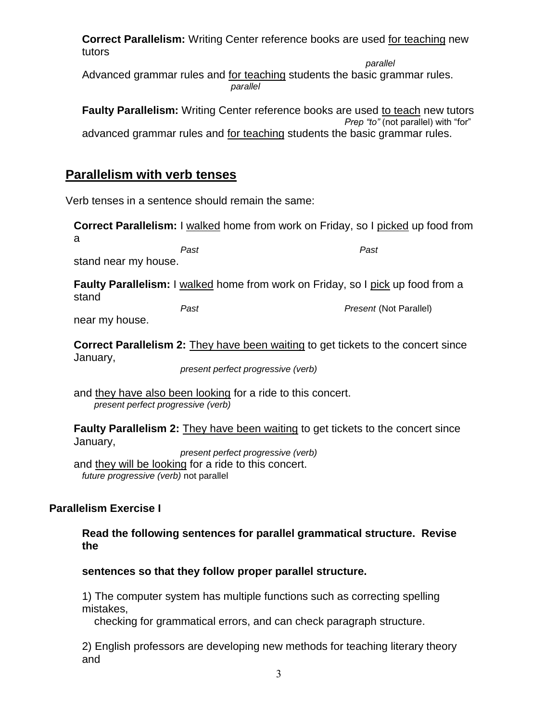**Correct Parallelism:** Writing Center reference books are used for teaching new tutors

 *parallel* Advanced grammar rules and for teaching students the basic grammar rules. *parallel*

**Faulty Parallelism:** Writing Center reference books are used to teach new tutors *Prep "to"* (not parallel) with "for" advanced grammar rules and for teaching students the basic grammar rules.

## **Parallelism with verb tenses**

Verb tenses in a sentence should remain the same:

**Correct Parallelism:** I walked home from work on Friday, so I picked up food from

a

*Past Past*

stand near my house.

**Faulty Parallelism:** I walked home from work on Friday, so I pick up food from a stand

near my house.

*Past Present* (Not Parallel)

**Correct Parallelism 2:** They have been waiting to get tickets to the concert since January,

*present perfect progressive (verb)*

and they have also been looking for a ride to this concert. *present perfect progressive (verb)*

**Faulty Parallelism 2:** They have been waiting to get tickets to the concert since January,

*present perfect progressive (verb)* and they will be looking for a ride to this concert. *future progressive (verb)* not parallel

### **Parallelism Exercise I**

**Read the following sentences for parallel grammatical structure. Revise the** 

### **sentences so that they follow proper parallel structure.**

1) The computer system has multiple functions such as correcting spelling mistakes,

checking for grammatical errors, and can check paragraph structure.

2) English professors are developing new methods for teaching literary theory and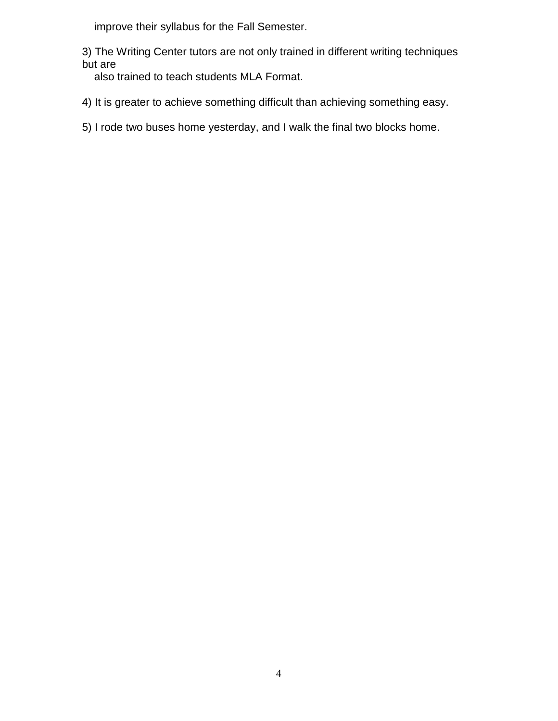improve their syllabus for the Fall Semester.

3) The Writing Center tutors are not only trained in different writing techniques but are

also trained to teach students MLA Format.

- 4) It is greater to achieve something difficult than achieving something easy.
- 5) I rode two buses home yesterday, and I walk the final two blocks home.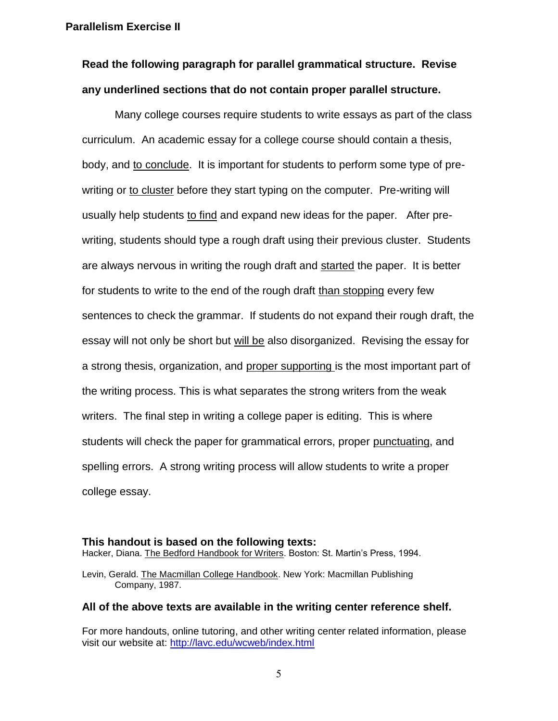**Parallelism Exercise II**

# **Read the following paragraph for parallel grammatical structure. Revise any underlined sections that do not contain proper parallel structure.**

Many college courses require students to write essays as part of the class curriculum. An academic essay for a college course should contain a thesis, body, and to conclude. It is important for students to perform some type of prewriting or to cluster before they start typing on the computer. Pre-writing will usually help students to find and expand new ideas for the paper. After prewriting, students should type a rough draft using their previous cluster. Students are always nervous in writing the rough draft and started the paper. It is better for students to write to the end of the rough draft than stopping every few sentences to check the grammar. If students do not expand their rough draft, the essay will not only be short but will be also disorganized. Revising the essay for a strong thesis, organization, and proper supporting is the most important part of the writing process. This is what separates the strong writers from the weak writers. The final step in writing a college paper is editing. This is where students will check the paper for grammatical errors, proper punctuating, and spelling errors. A strong writing process will allow students to write a proper college essay.

#### **This handout is based on the following texts:**

Hacker, Diana. The Bedford Handbook for Writers. Boston: St. Martin's Press, 1994.

Levin, Gerald. The Macmillan College Handbook. New York: Macmillan Publishing Company, 1987.

#### **All of the above texts are available in the writing center reference shelf.**

For more handouts, online tutoring, and other writing center related information, please visit our website at:<http://lavc.edu/wcweb/index.html>

5